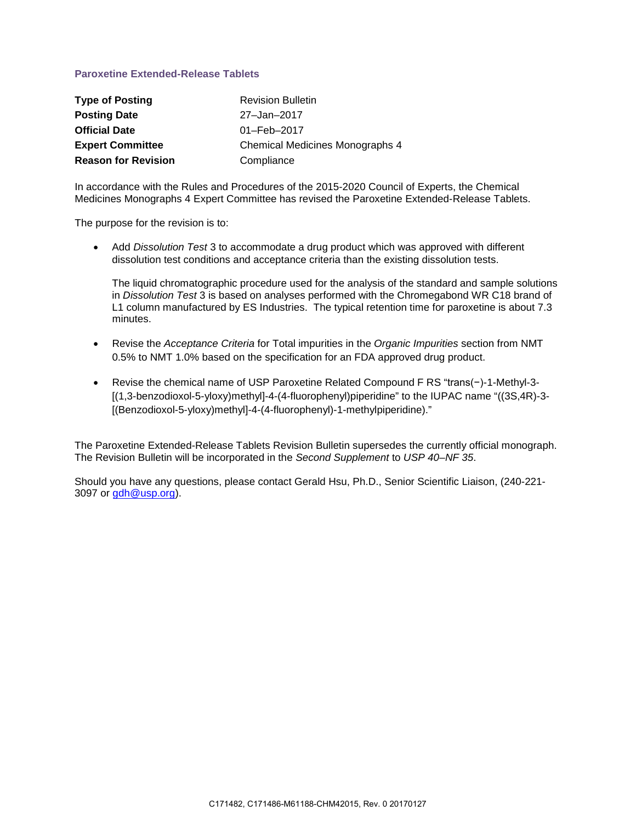# **Paroxetine Extended-Release Tablets**

| <b>Type of Posting</b>     | <b>Revision Bulletin</b>        |
|----------------------------|---------------------------------|
| <b>Posting Date</b>        | 27-Jan-2017                     |
| <b>Official Date</b>       | 01-Feb-2017                     |
| <b>Expert Committee</b>    | Chemical Medicines Monographs 4 |
| <b>Reason for Revision</b> | Compliance                      |

In accordance with the Rules and Procedures of the 2015-2020 Council of Experts, the Chemical Medicines Monographs 4 Expert Committee has revised the Paroxetine Extended-Release Tablets.

The purpose for the revision is to:

• Add *Dissolution Test* 3 to accommodate a drug product which was approved with different dissolution test conditions and acceptance criteria than the existing dissolution tests.

The liquid chromatographic procedure used for the analysis of the standard and sample solutions in *Dissolution Test* 3 is based on analyses performed with the Chromegabond WR C18 brand of L1 column manufactured by ES Industries. The typical retention time for paroxetine is about 7.3 minutes.

- Revise the *Acceptance Criteria* for Total impurities in the *Organic Impurities* section from NMT 0.5% to NMT 1.0% based on the specification for an FDA approved drug product.
- Revise the chemical name of USP Paroxetine Related Compound F RS "trans(−)-1-Methyl-3- [(1,3-benzodioxol-5-yloxy)methyl]-4-(4-fluorophenyl)piperidine" to the IUPAC name "((3S,4R)-3- [(Benzodioxol-5-yloxy)methyl]-4-(4-fluorophenyl)-1-methylpiperidine)."

The Paroxetine Extended-Release Tablets Revision Bulletin supersedes the currently official monograph. The Revision Bulletin will be incorporated in the *Second Supplement* to *USP 40–NF 35*.

Should you have any questions, please contact Gerald Hsu, Ph.D., Senior Scientific Liaison, (240-221- 3097 or [gdh@usp.org\)](mailto:gdh@usp.org).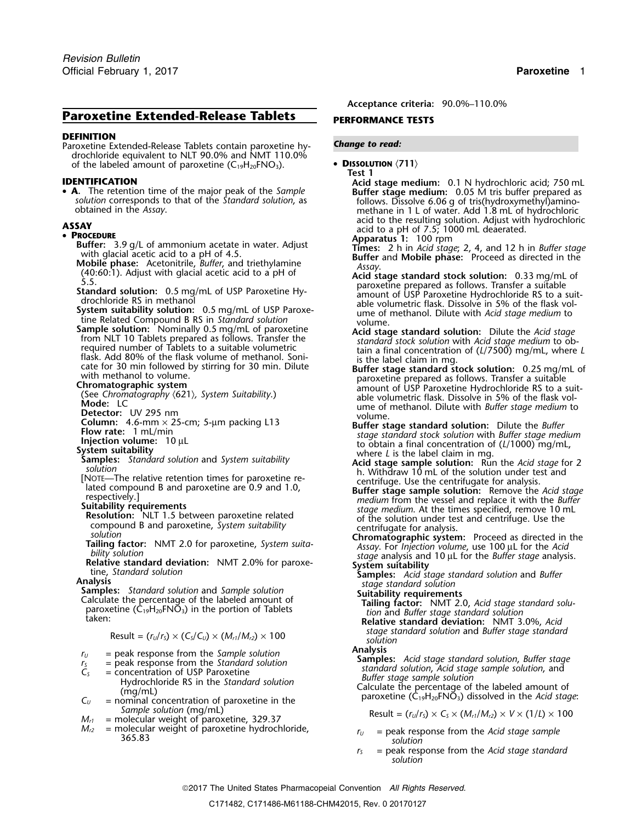# **Paroxetine Extended-Release Tablets** PERFORMANCE TESTS

### **DEFINITION**

Paroxetine Extended-Release Tablets contain paroxetine hy- *Change to read:* drochloride equivalent to NLT 90.0% and NMT 110.0% of the labeled amount of paroxetine (C • **<sup>D</sup>ISSOLUTION** 〈**711**〉 <sup>19</sup>H20FNO3). **Test 1**

• A. The retention time of the major peak of the Sample

- 
- 
- **Photonics** 3 of Le Garmonian activities in water. Adjust<br> **Photonics** 2 at the digitar and the behaviour activities in the consideration of the summer and the considered a direct and the considered a direct and the consi

- 
- 
- 

- 
- 
- 
- 
- 

- 
- 
- -
- *Sample solution* (mg/mL)<br>  $M_{r1}$  = molecular weight of paroxetine, 329.37<br>  $M_{r2}$  = molecular weight of paroxetine hydrochloride,<br>  $M_{r2}$  = molecular weight of paroxetine hydrochloride,<br>  $M_{r2}$  = molecular weight of
- 
- 

**Acceptance criteria:** 90.0%–110.0%

- -

**IDENTIFICATION Acid stage medium:** 0.1 N hydrochloric acid; 750 mL **A.** The retention time of the major peak of the Sample<br>solution corresponds to that of the Standard solution, as follows. Dissolve 6.06 g of tris(hydroxymethyl)amino-<br>obtained in the Assay. The Standard solution, as metha **ASSAY**<br> **ASSAY** acid to the resulting solution. Adjust with hydrochloric<br> **Apparatus 1:** 100 rpm

- 
- 
- 
- 
- 
- 
- 
- 

 $s$  *stage standard solution* and *Buffer stage standard*  $s$ *Oution solution solution solution* 

 $T_5$  = peak response from the Sample solution<br>  $T_5$  = peak response from the Standard solution<br>  $T_5$  = concentration of USP Paroxetine<br>
Hydrochloride RS in the Standard solution<br>
(mg/mL)<br>  $T_5$  = concentration of USP P

- *<sup>M</sup>r2* = molecular weight of paroxetine hydrochloride, *<sup>r</sup><sup>U</sup>* = peak response from the *Acid stage sample* 365.83 *solution*
	- *<sup>r</sup><sup>S</sup>* = peak response from the *Acid stage standard solution*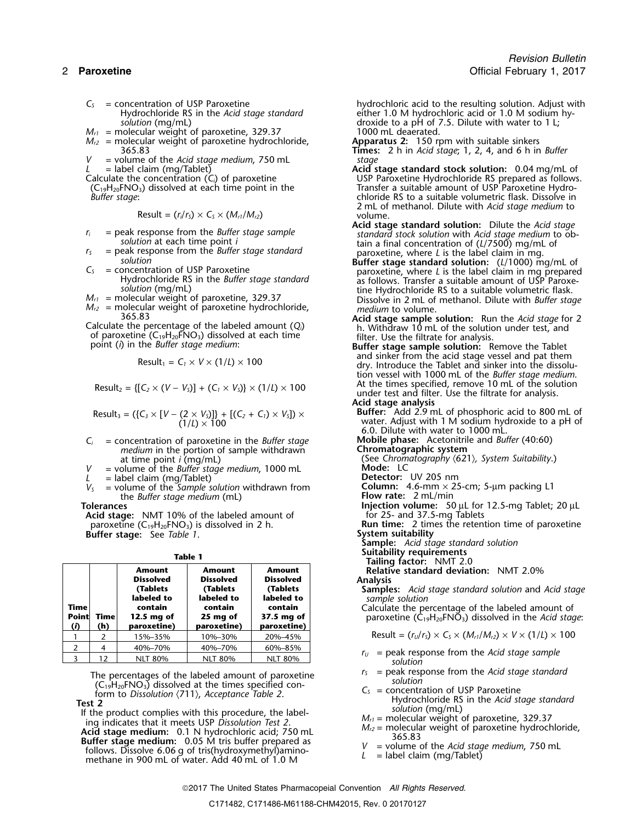- 
- 
- $M_{\prime\prime\prime}$  = molecular weight of paroxetine, 329.37  $\hphantom{M_{\rm U}\,M_{\rm U}} 1000$  mL deaerated.
- $M_{\rm r2}$  = molecular weight of paroxetine hydrochloride, **Apparatus 2:** 150 rpm with suitable sinkers

= volume of the *Acid stage medium*, 750 mL<br>= label claim (mg/Tablet)

 $(C_{19}H_{20}FNO_3)$  dissolved at each time point in the Buffer stage:

$$
Result = (r_i/r_s) \times C_s \times (M_{r1}/M_{r2})
$$

- 
- 
- -
- 
- 

Calculate the percentage of the labeled amount  $(Q_i)$  h. Withdraw 10 mL of the solution under test, and of paroxetine  $(C_1, L_2, H_2, FNO_3)$  dissolved at each time filter. Use the filtrate for analysis. of paroxetine  $(C_{19}H_{20}FNO_3)$  dissolved at each time<br>point (*i*) in the *Buffer stage medium*: **Buffer stage sample solution:** Remove the Tablet<br>and sinker from the acid stage vessel and pat them

$$
Result_1 = C_1 \times V \times (1/L) \times 100
$$

Result<sub>2</sub> = {[
$$
C_2 \times (V - V_5)
$$
] + ( $C_1 \times V_5$ )}  $\times$  (1/ $L$ )  $\times$  100

$$
Result_3 = (\{C_3 \times [V - (2 \times V_3)]\} + [(C_2 + C_1) \times V_3]) \times (1/L) \times 100
$$

- *C<sub>i</sub>* = concentration of paroxetine in the *Buffer* stage **in a medium** in the portion of sample withdrawn *Chromatographic system inedium* in the portion of sample withdrawn *Chromatographic system* medium in the portion of sample withdrawn<br>at time point *i* (mg/mL) at time point *i* (mg/mL) (See Chromatography (621), System Suitability.)
- *<sup>V</sup>* = volume of the *Buffer stage medium*, <sup>1000</sup> mL **Mode:** LC
- $L =$  label claim (mg/Tablet)<br> $V_s =$  volume of the *Sample solution* withdrawn from the *Buffer stage medium* (mL) **Tolerances**

**Acid stage:** NMT 10% of the labeled amount of paroxetine (C<sub>19</sub>H<sub>20</sub>FNO<sub>3</sub>) is dissolved in 2 h. **Buffer stage:** See *Table 1*.

|             |      |                                   |                            |                                   | <b>Talling Tactor:</b> INMIT 2.0                                                        |
|-------------|------|-----------------------------------|----------------------------|-----------------------------------|-----------------------------------------------------------------------------------------|
|             |      | <b>Amount</b><br><b>Dissolved</b> | Amount<br><b>Dissolved</b> | <b>Amount</b><br><b>Dissolved</b> | Relative standard deviation: NMT 2.0%<br><b>Analysis</b>                                |
|             |      | <b>Tablets</b>                    | <b>Tablets</b>             | (Tablets                          | Samples: Acid stage standard solution and Acid stage                                    |
|             |      | labeled to                        | labeled to                 | labeled to                        | sample solution                                                                         |
| <b>Time</b> |      | contain                           | contain                    | contain                           | Calculate the percentage of the labeled amount of                                       |
| Point       | Time | 12.5 mg of                        | 25 mg of                   | 37.5 mg of                        | paroxetine ( $C_{19}H_{20}FN\overline{O}_3$ ) dissolved in the Acid stage:              |
| $\omega$    | (h)  | paroxetine)                       | paroxetine)                | paroxetine)                       |                                                                                         |
|             |      | 15%–35%                           | 10%-30%                    | 20%-45%                           | Result = $(r_U/r_S) \times C_S \times (M_{r1}/M_{r2}) \times V \times (1/L) \times 100$ |
|             |      | 40%-70%                           | 40%-70%                    | 60%-85%                           |                                                                                         |
|             | 12   | NIT 80%                           | NIT 80%                    | NIT 80%                           | $r_U$ = peak response from the Acid stage sample                                        |

The percentages of the labeled amount of paroxetine<br>
(C<sub>19</sub>H<sub>20</sub>FNO<sub>3</sub>) dissolved at the times specified con-<br>
form to *Dissolution* (711), *Acceptance Table 2*.<br> **Test 2**<br> **Test 2**<br> **If the product complies with this pro** 

 $C<sub>S</sub>$  = concentration of USP Paroxetine hydrochloric acid to the resulting solution. Adjust with  $C<sub>S</sub>$  = concentration of USP Paroxetine  $C<sub>S</sub>$  = cither 1.0 M hydrochloric acid or 1.0 M sodium hy-Hydrochloride RS in the *Acid stage standard* either 1.0 M hydrochloric acid or 1.0 M sodium hy-<br>solution (mg/mL) solution (mg/mL) droxide to a pH of 7.5. Dilute with water to 1 L;<br>1000 mL deaerated.

- 365.83 **Times:** 2 h in *Acid stage*; 1, 2, 4, and 6 h in *Buffer*
- *L* = label claim (mg/Tablet) **Acid stage standard stock solution:** 0.04 mg/mL of USP Paroxetine Hydrochloride RS prepared as follows.<br>Transfer a suitable amount of USP Paroxetine Hydro-*Buffer stage*: chloride RS to a suitable volumetric flask. Dissolve in 2 mL of methanol. Dilute with *Acid stage medium* to  $volume.$
- **Acid stage standard solution:** Dilute the *Acid stage r<sub>i</sub>* = peak response from the *Buffer stage sample standard stock solution* with *Acid stage medium* to ob-<br>*solution* at each time point *i* tain a final concentration of (1/7500) ma/mL of *solution* at each time point *i* tain a final concentration of (*L*/7500) mg/mL of = peak response from the *Buffer stage standard* paroxetine, where *L* is the label claim in mg.
- $C_5$  = peak response from the *Buffer stage standard*<br>
solution<br>  $C_5$  = concentration of USP Paroxetine<br>
Hydrochloride RS in the *Buffer stage standard*<br>
solution (mg/mL)<br>
solution (mg/mL)<br>
solution (mg/mL) solution (mg/mL)<br> $M_{r1}$  = molecular weight of paroxetine, 329.37<br> $M_{r2}$  = molecular weight of paroxetine, 329.37<br> $M_{r2}$  = molecular weight of paroxetine hydrochloride,<br> $M_{r2}$  = molecular weight of paroxetine hydrochlo
	- 365.83 **Acid stage sample solution:** Run the *Acid stage* for 2
		- and sinker from the acid stage vector and pat them  $\alpha$  dry. Introduce the Tablet and sinker into the dissolution vessel with 1000 mL of the *Buffer stage medium*. At the times specified, remove 10 mL of the solution<br>under test and filter. Use the filtrate for analysis.
		- **Acid stage analysis** Buffer: Add 2.9 mL of phosphoric acid to 800 mL of water. Adjust with 1 M sodium hydroxide to a pH of 6.0. Dilute with water to 1000 mL.
		-
	- at time point *i* (mg/mL) (See *Chromatography* 〈621〉*, System Suitability*.)

*V***Sample Solution**<br> **Column:** 4.6-mm × 25-cm; 5-µm packing L1<br> **Flow rate:** 2 mL/min

- 
- **Tolerances Injection volume:** 50 µL for 12.5-mg Tablet; 20 µL

for 25- and 37.5-mg Tablets<br>**Run time:** 2 times the retention time of paroxetine<br>System suitability

**Sample:** *Acid stage standard solution*

- **Suitability requirements Table 1 Tailing factor:** NMT 2.0
	-

$$
Result = (rU/rS) \times CS \times (Mr1/Mr2) \times V \times (1/L) \times 100
$$

- $r_U$  = peak response from the *Acid stage sample*  $solution$
- 
- 
- 
- 
- 
-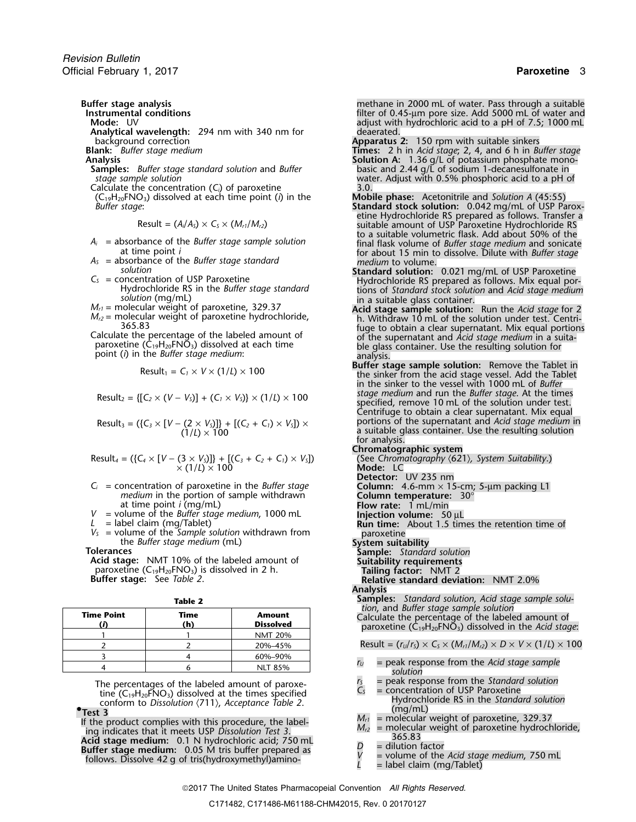**Analytical wavelength:** 294 nm with 340 nm for background correction background correction<br>**Blank:** Buffer stage medium<br>**Apparatus 2:** 150 rpm with suitable sinkers<br>**Blank:** Buffer stage medium<br>**Times:** 2 h in Acid stage; 2, 4, and 6 h in Bunk:

- 
- 
- (C19H20FNO3) dissolved at each time point (*i*) in the **Mobile phase:** Acetonitrile and *Solution A* (45:55)

$$
Result = (A_i/A_s) \times C_s \times (M_{r1}/M_{r2})
$$

- 
- 
- 
- 
- 

$$
Result_1 = C_1 \times V \times (1/L) \times 100
$$

$$
Result_3 = (\{C_3 \times [V - (2 \times V_5)]\} + [(C_2 + C_1) \times V_5]) \times (1/L) \times 100
$$

Result<sub>4</sub> = (
$$
\{C_4 \times [V - (3 \times V_5)]\} + [(C_3 + C_2 + C_1) \times V_5]
$$
)  
× (1/L) × 100

- 
- 
- 
- 

Acid stage: NMT 10% of the labeled amount of **Suitability requirements**<br>
paroxetine (C<sub>19</sub>H<sub>20</sub>FNO<sub>3</sub>) is dissolved in 2 h. **Tailing factor:** NMT 2 paroxetine (C<sub>19</sub>H<sub>20</sub>FNO<sub>3</sub>) is dissolved in 2 h.<br>**Buffer stage:** See Table 2.

| <b>Time Point</b> | Time<br>(h) | <b>Amount</b><br><b>Dissolved</b> |
|-------------------|-------------|-----------------------------------|
|                   |             | <b>NMT 20%</b>                    |
|                   |             | 20%-45%                           |
|                   |             | 60%-90%                           |
|                   |             | NIT 85%                           |

If the product complies with this procedure, the label-<br>
ing indicates that it meets USP Dissolution Test 3.<br>
Acid stage medium: 0.1 N hydrochloric acid; 750 mL<br>
Buffer stage medium: 0.05 M tris buffer prepared as<br>
follow

**Buffer stage analysis**<br>**Buffer stage analysis** methane in 2000 mL of water. Pass through a suitable<br>filter of 0.45-µm pore size. Add 5000 mL of water and **Instrumental conditions**<br>**Instrumental conditions** and the state and the state and adjust with hydrochloric acid to a pH of 7.5; 1000 mL<br>**Mode:** UV adjust with hydrochloric acid to a pH of 7.5; 1000 mL<br>deaerated.

- **Blank:** *Buffer stage medium* **Times:** 2 h in *Acid stage*; 2, 4, and 6 h in *Buffer stage*<br>**Analysis Solution A:** 1.36 g/L of potassium phosphate mono-**Analysis Solution A:** 1.36 g/L of potassium phosphate mono-
- **Samples:** *Buffer stage standard solution* and *Buffer* basic and 2.44 g/L of sodium 1-decanesulfonate in *stage sample solution* water. Adjust with 0.5% phosphoric acid to a pH of Calculate the concentration (*C<sub>i</sub>*) of paroxetine 3.0.<br>  $(C_{19}H_{20}FNO_3)$  dissolved at each time point (*i*) in the **Mobile phase:** Acetonitrile and Solution A (45:55)
- *Buffer stage*: **Standard stock solution:** 0.042 mg/mL of USP Paroxetine Hydrochloride RS prepared as follows. Transfer a<br>Result =  $(A_i/A_5) \times C_5 \times (M_{r1}/M_{r2})$ <br>to a suitable volumetric flask. Add about 50% of the *<sup>A</sup><sup>i</sup>* = absorbance of the *Buffer stage sample solution* final flask volume of *Buffer stage medium* and sonicate at time point *i* for about 15 min to dissolve. Dilute with *Buffer stage A<sub>S</sub>* = absorbance of the *Buffer stage standard medium* to volume.
- $M_{r1}$  = molecular weight of paroxetine bydrochloride molecular weight of paroxetine bydrochloride RS in the *Buffer stage standard*<br>  $M_{r2}$  = molecular weight of paroxetine, 329.37<br>  $M_{r2}$  = molecular weight of paroxe
- nolecular weight of paroxetine hydrochloride, h. Withdraw 10 mL of the solution under test. Centri-<br>265.83 365.83 fuge to obtain a clear supernatant. Mix equal portions Calculate the percentage of the labeled amount of of the supernatant and *Acid stage medium* in a suitable glass container. Use the resulting solution for<br>analysis.
- point (*i*) in the *Buffer stage medium*: analysis.<br>**Buffer stage sample solution:** Remove the Tablet in the sinker from the acid stage vessel. Add the Tablet in the sinker to the vessel with 1000 mL of *Buffer* Result<sub>2</sub> = {[C<sub>2</sub> × (V – V<sub>5</sub>)] + (C<sub>1</sub> × V<sub>5</sub>)} × (1/L) × 100<br>specified, remove 10 mL of the solution under test. Centrifuge to obtain a clear supernatant. Mix equal  $P$  portions of the supernatant and *Acid stage medium* in a suitable glass container. Use the resulting solution for analysis.
	- **Chromatographic system**
- Result*<sup>4</sup>* = ({*C<sup>4</sup>* <sup>×</sup> [*V* <sup>−</sup> (3 <sup>×</sup> *VS*)]} + [(*C3*<sup>+</sup>*C2*<sup>+</sup>*C1*) <sup>×</sup> *VS*]) (See *Chromatography* 〈621〉*, System Suitability*.) <sup>×</sup> (1/*L*) × 100 **Mode:** LC  $C_i$  = concentration of paroxetine in the *Buffer stage*<br> *medium* in the portion of sample withdrawn<br>
at time point *i* (mg/mL) at time point *i* (mg/mL) at time point *i* (mg/mL) at time point *i* (mg/mL) at time point *i* (mg/mL) *V* = volume of the *Buffer stage medium*, 1000 mL **Injection volume:** 50 µL <br>*L* = label claim (mg/Tablet) **Injection volume:** 4 **Run time:** About 1.5 tim **Run time:** About 1.5 times the retention time of *V*<sub>S</sub> = volume of the *Sample solution* withdrawn from the *Buffer stage medium* (mL) **System suitability**<br> **Tolerances Sample:** *Standard solution*<br> **Acid stage:** NMT 10% of the labeled amount of **Suitability requireme Relative standard deviation:** NMT 2.0% **Analysis Table 2 Samples:** *Standard solution, Acid stage sample solu-*<br> **Samples:** *Standard solution, and Buffer stage sample solution* Calculate the percentage of the labeled amount of paroxetine  $(C_{19}H_{20}FNO_3)$  dissolved in the *Acid stage*:  $Result = (r<sub>U</sub>/r<sub>S</sub>) \times C<sub>S</sub> \times (M<sub>r1</sub>/M<sub>r2</sub>) \times D \times V \times (1/L) \times 100$  $r_U$  = peak response from the *Acid stage sample*  $s$  *solution* The percentages of the labeled amount of paroxe-<br>tine (C<sub>19</sub>H<sub>20</sub>FNO<sub>3</sub>) dissolved at the times specified<br>conform to *Dissolution*  $\langle 711 \rangle$ , *Acceptance Table 2*.<br>Test 3 conform to Dissolution  $\langle 711 \rangle$ , Acceptance Table 2.<br>  $\frac{mg/mL}{mg/mL}$  = molecular weight of paroxetine, 329.37<br>
e product complies with this procedure, the label-<br>  $M_{r1}$  = molecular weight of paroxetine, 329.37
	-
	- -
	-

2017 The United States Pharmacopeial Convention *All Rights Reserved.*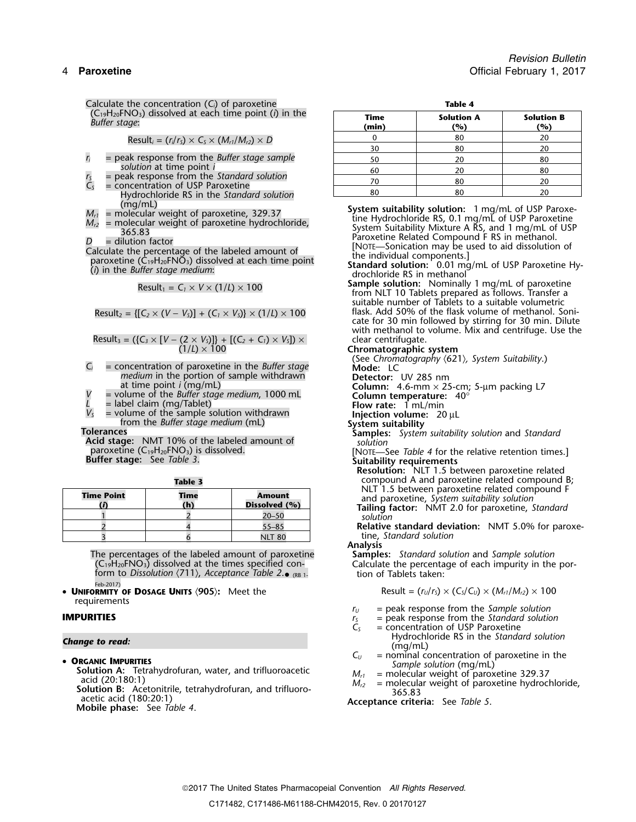Calculate the concentration (C<sub>*i*</sub>) of paroxetine **Table 4**<sup>2</sup> (C19H20FNO3) dissolved at each time point (*i*) in the **Time Solution A Solution B** *Buffer stage*: **(min) (%) (%)**

$$
Result_i = (r_i/r_s) \times C_s \times (M_{r1}/M_{r2}) \times D
$$

- $r_i$  = peak response from the *Buffer stage sample solution* at time point *i*
- $r_s$  = peak response from the *Standard solution*  $r_s$  = concentration of USP Paroxetine  $r_s$  = concentration of USP Paroxetine  $r_s$  = 20  $r_s$  = 20  $r_s$  = 20  $r_s$  = 20  $r_s$  = 20  $r_s$  = 20  $r_s$  = 20  $r_s$  = 20  $r_s$  = 20  $r_s$
- Hydrochloride RS in the Standard solution<br>(mg/mL)
- 
- 
- 

$$
Result_1 = C_1 \times V \times (1/L) \times 100
$$

$$
esult_2 = \{ [C_2 \times (V - V_5)] + (C_1 \times V_5) \} \times (1/L) \times 100
$$

Result<sub>3</sub> = (
$$
{C_3 \times [V - (2 \times V_5)]}
$$
 + [ $(C_2 + C_1) \times V_5$ ])  $\times$   
(1/L)  $\times$  100

- medium in the portion of sample withdrawn<br>at time point *i* (mg/mL) **Detector:** UV 285 nm<br>**Column:** 4.6-mm × 25-cm; 5-µm packing L7
- at time point *i* (mg/mL)<br>= volume of the *Buffer stage medium*, 1000 mL<br>= label claim (mg/Tablet)<br>= label claim (mg/Tablet)
- 
- $V_s$  = volume of the sample solution withdrawn **Injection volume:** 20  $\mu$ L<br>from the *Buffer stage medium* (mL) **System suitability**

Acid stage: NMT 10% of the labeled amount of *paroxetine* (C<sub>19</sub>H<sub>20</sub>FNO<sub>3</sub>) is dissolved.

| <b>Time Point</b> | Time<br>(h) | <b>Amount</b><br>Dissolved (%) |
|-------------------|-------------|--------------------------------|
|                   |             | $20 - 50$                      |
|                   |             | $55 - 85$                      |
|                   |             | <b>NLT 80</b>                  |

The percentages of the labeled amount of paroxetine<br>  $(C_1, B_2)$  (C<sub>19</sub>H<sub>20</sub>FNO<sub>3</sub>) dissolved at the times specified con-<br>
form to *Dissolution* (711), *Acceptance Table 2*. (RB 1.<br>
form to *Dissolution* (711), *Acceptance* Feb-2017)

•**UNIFORMITY OF DOSAGE UNITS (905):** Meet the requirements

**Solution A:** Tetrahydrofuran, water, and trifluoroacetic acid (20:180:1)<br>acid (20:180:1)<br>**Solution B:** Acetonitrile, tetrahydrofuran, and trifluoro-<br>**Solution B:** Acetonitrile, tetrahydrofuran, and trifluoro-<br>**Acceptance** 

| the concentration (C) or paroxetine                                                                                                     |               | таріе 4                  |                          |
|-----------------------------------------------------------------------------------------------------------------------------------------|---------------|--------------------------|--------------------------|
| $IO3$ ) dissolved at each time point (i) in the<br>qe:                                                                                  | Time<br>(min) | <b>Solution A</b><br>(%) | <b>Solution B</b><br>(%) |
| Result <sub>i</sub> = (r <sub>i</sub> /r <sub>s</sub> ) $\times$ C <sub>s</sub> $\times$ (M <sub>r1</sub> /M <sub>r2</sub> ) $\times$ D |               | 80                       | 20                       |
|                                                                                                                                         | 30            | 80                       |                          |
| k response from the Buffer stage sample                                                                                                 | 50            | 20                       | 80                       |
| lution at time point i                                                                                                                  | 60            | 20                       | 80                       |
| k response from the Standard solution                                                                                                   |               |                          |                          |

 $M_{r1}$  = molecular weight of paroxetine, 329.37<br>  $M_{r2}$  = molecular weight of paroxetine hydrochloride,<br>  $M_{r2}$  = molecular weight of paroxetine hydrochloride,<br>  $M_{r3}$  = dilution factor<br>  $M_{r2}$  = dilution factor<br>  $M_{$ 

**Sample solution:** Nominally 1 mg/mL of paroxetine from NLT 10 Tablets prepared as follows. Transfer a suitable number of Tablets to a suitable volumetric Result<sub>2</sub> = { $[C_2 \times (V - V_5)] + (C_1 \times V_5) \times (1/L) \times 100$  flask. Add 50% of the flask volume of methanol. Sonicate for 30 min followed by stirring for 30 min. Dilute with methanol to volume. Mix and centrifuge. Use the<br>clear centrifugate.<br>Chromatographic system

(See *Chromatography* 〈621〉*, System Suitability*.) *<sup>C</sup><sup>i</sup>* = concentration of paroxetine in the *Buffer stage* **Mode:** LC

- **Folerances**<br>**Acid stage:** NMT 10% of the labeled amount of **Samples:** *System suitability solution* and *Standard*
- paroxetine (C19H20FNO3) is dissolved. [NOTE—See *Table 4* for the relative retention times.] **Buffer stage:** See *Table 3*. **Suitability requirements**
	- **Resolution:** NLT 1.5 between paroxetine related **Table 3** compound A and paroxetine related compound B;<br>NLT 1.5 between paroxetine related compound F and paroxetine, System suitability solution<br>**Tailing factor:** NMT 2.0 for paroxetine, Standard

solution

**Relative standard deviation:** NMT 5.0% for paroxetine, *Standard* solution

tion of Tablets taken:

$$
Result = (r_U/r_S) \times (C_S/C_U) \times (M_{r1}/M_{r2}) \times 100
$$

- 
- **IMPURITIES IMPURITIES** *r***<sub>***U***</sub> = peak response from the** *Sample solution***<br>** $r_S$  **= peak response from the** *Standard solution***<br>** $C_S$  **= concentration of USP Paroxetine**
- $=$  concentration of USP Paroxetine **Change to read: Hydrochloride RS** in the *Standard solution*<br>(mg/mL)<br>**C**<sub>u</sub> = nominal concentration of paroxetine in the **C**urrentle in the **Currentle** in the **Currentle**
- **ORGANIC IMPURITIES**  $C_U$  = nominal concentration of paroxetine in the *Sample solution* (mg/mL)
	-
	-